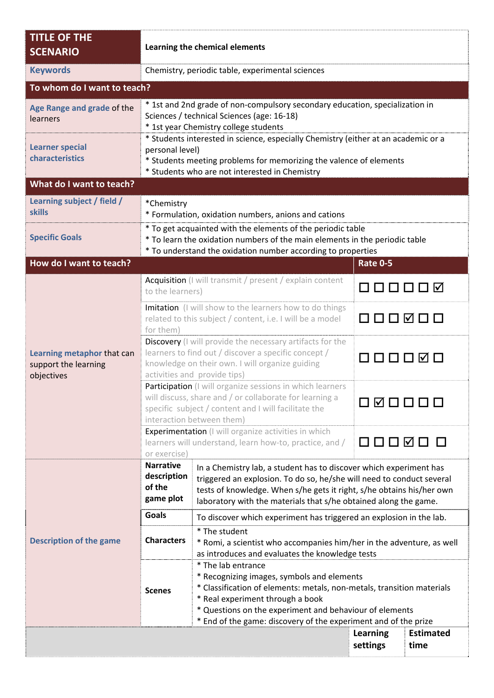| <b>TITLE OF THE</b><br><b>SCENARIO</b>                           | Learning the chemical elements                                                                                                                                                                                                |                                                                                                                                                                                                                                                                                                              |                             |                          |  |  |  |
|------------------------------------------------------------------|-------------------------------------------------------------------------------------------------------------------------------------------------------------------------------------------------------------------------------|--------------------------------------------------------------------------------------------------------------------------------------------------------------------------------------------------------------------------------------------------------------------------------------------------------------|-----------------------------|--------------------------|--|--|--|
| <b>Keywords</b>                                                  |                                                                                                                                                                                                                               | Chemistry, periodic table, experimental sciences                                                                                                                                                                                                                                                             |                             |                          |  |  |  |
| To whom do I want to teach?                                      |                                                                                                                                                                                                                               |                                                                                                                                                                                                                                                                                                              |                             |                          |  |  |  |
| Age Range and grade of the<br>learners                           | * 1st and 2nd grade of non-compulsory secondary education, specialization in<br>Sciences / technical Sciences (age: 16-18)<br>* 1st year Chemistry college students                                                           |                                                                                                                                                                                                                                                                                                              |                             |                          |  |  |  |
| <b>Learner special</b><br>characteristics                        | * Students interested in science, especially Chemistry (either at an academic or a<br>personal level)<br>* Students meeting problems for memorizing the valence of elements<br>* Students who are not interested in Chemistry |                                                                                                                                                                                                                                                                                                              |                             |                          |  |  |  |
| What do I want to teach?                                         |                                                                                                                                                                                                                               |                                                                                                                                                                                                                                                                                                              |                             |                          |  |  |  |
| Learning subject / field /<br><b>skills</b>                      | *Chemistry                                                                                                                                                                                                                    | * Formulation, oxidation numbers, anions and cations                                                                                                                                                                                                                                                         |                             |                          |  |  |  |
| <b>Specific Goals</b>                                            | * To get acquainted with the elements of the periodic table<br>* To learn the oxidation numbers of the main elements in the periodic table<br>* To understand the oxidation number according to properties                    |                                                                                                                                                                                                                                                                                                              |                             |                          |  |  |  |
| How do I want to teach?                                          |                                                                                                                                                                                                                               |                                                                                                                                                                                                                                                                                                              | <b>Rate 0-5</b>             |                          |  |  |  |
| Learning metaphor that can<br>support the learning<br>objectives | Acquisition (I will transmit / present / explain content<br>to the learners)                                                                                                                                                  |                                                                                                                                                                                                                                                                                                              | 000000                      |                          |  |  |  |
|                                                                  | Imitation (I will show to the learners how to do things<br>related to this subject / content, i.e. I will be a model<br>for them)                                                                                             |                                                                                                                                                                                                                                                                                                              | 000000                      |                          |  |  |  |
|                                                                  | Discovery (I will provide the necessary artifacts for the<br>learners to find out / discover a specific concept /<br>000000<br>knowledge on their own. I will organize guiding<br>activities and provide tips)                |                                                                                                                                                                                                                                                                                                              |                             |                          |  |  |  |
|                                                                  | Participation (I will organize sessions in which learners<br>will discuss, share and / or collaborate for learning a<br>000000<br>specific subject / content and I will facilitate the<br>interaction between them)           |                                                                                                                                                                                                                                                                                                              |                             |                          |  |  |  |
|                                                                  | Experimentation (I will organize activities in which<br>☑ □<br>◻◻⊓<br>learners will understand, learn how-to, practice, and /<br>or exercise)                                                                                 |                                                                                                                                                                                                                                                                                                              |                             |                          |  |  |  |
| <b>Description of the game</b>                                   | <b>Narrative</b><br>description<br>of the<br>game plot                                                                                                                                                                        | In a Chemistry lab, a student has to discover which experiment has<br>triggered an explosion. To do so, he/she will need to conduct several<br>tests of knowledge. When s/he gets it right, s/he obtains his/her own<br>laboratory with the materials that s/he obtained along the game.                     |                             |                          |  |  |  |
|                                                                  | <b>Goals</b>                                                                                                                                                                                                                  | To discover which experiment has triggered an explosion in the lab.                                                                                                                                                                                                                                          |                             |                          |  |  |  |
|                                                                  | <b>Characters</b>                                                                                                                                                                                                             | * The student<br>* Romi, a scientist who accompanies him/her in the adventure, as well<br>as introduces and evaluates the knowledge tests                                                                                                                                                                    |                             |                          |  |  |  |
|                                                                  | <b>Scenes</b>                                                                                                                                                                                                                 | * The lab entrance<br>* Recognizing images, symbols and elements<br>* Classification of elements: metals, non-metals, transition materials<br>* Real experiment through a book<br>* Questions on the experiment and behaviour of elements<br>* End of the game: discovery of the experiment and of the prize |                             |                          |  |  |  |
|                                                                  |                                                                                                                                                                                                                               |                                                                                                                                                                                                                                                                                                              | <b>Learning</b><br>settings | <b>Estimated</b><br>time |  |  |  |